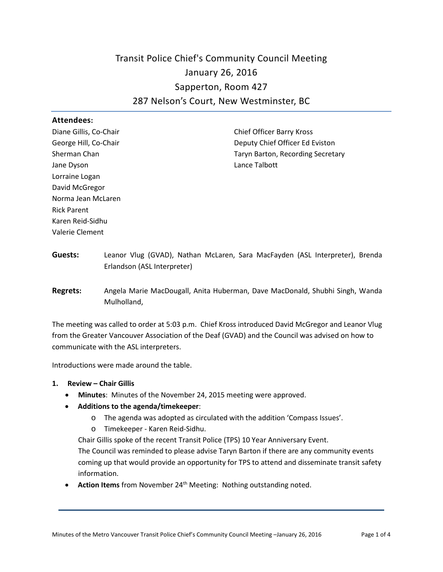# Transit Police Chief's Community Council Meeting January 26, 2016 Sapperton, Room 427 287 Nelson's Court, New Westminster, BC

#### **Attendees:**

Diane Gillis, Co-Chair George Hill, Co-Chair Sherman Chan Jane Dyson Lorraine Logan David McGregor Norma Jean McLaren Rick Parent Karen Reid-Sidhu Valerie Clement

Chief Officer Barry Kross Deputy Chief Officer Ed Eviston Taryn Barton, Recording Secretary Lance Talbott

- **Guests:** Leanor Vlug (GVAD), Nathan McLaren, Sara MacFayden (ASL Interpreter), Brenda Erlandson (ASL Interpreter)
- **Regrets:** Angela Marie MacDougall, Anita Huberman, Dave MacDonald, Shubhi Singh, Wanda Mulholland,

The meeting was called to order at 5:03 p.m. Chief Kross introduced David McGregor and Leanor Vlug from the Greater Vancouver Association of the Deaf (GVAD) and the Council was advised on how to communicate with the ASL interpreters.

Introductions were made around the table.

## **1. Review – Chair Gillis**

- **Minutes**: Minutes of the November 24, 2015 meeting were approved.
- **Additions to the agenda/timekeeper**:
	- o The agenda was adopted as circulated with the addition 'Compass Issues'.
	- o Timekeeper Karen Reid-Sidhu.

Chair Gillis spoke of the recent Transit Police (TPS) 10 Year Anniversary Event.

The Council was reminded to please advise Taryn Barton if there are any community events coming up that would provide an opportunity for TPS to attend and disseminate transit safety information.

• **Action Items** from November 24<sup>th</sup> Meeting: Nothing outstanding noted.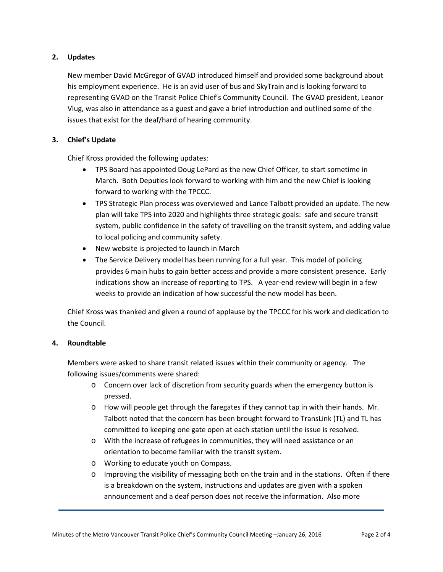## **2. Updates**

New member David McGregor of GVAD introduced himself and provided some background about his employment experience. He is an avid user of bus and SkyTrain and is looking forward to representing GVAD on the Transit Police Chief's Community Council. The GVAD president, Leanor Vlug, was also in attendance as a guest and gave a brief introduction and outlined some of the issues that exist for the deaf/hard of hearing community.

## **3. Chief's Update**

Chief Kross provided the following updates:

- TPS Board has appointed Doug LePard as the new Chief Officer, to start sometime in March. Both Deputies look forward to working with him and the new Chief is looking forward to working with the TPCCC.
- TPS Strategic Plan process was overviewed and Lance Talbott provided an update. The new plan will take TPS into 2020 and highlights three strategic goals: safe and secure transit system, public confidence in the safety of travelling on the transit system, and adding value to local policing and community safety.
- New website is projected to launch in March
- The Service Delivery model has been running for a full year. This model of policing provides 6 main hubs to gain better access and provide a more consistent presence. Early indications show an increase of reporting to TPS. A year-end review will begin in a few weeks to provide an indication of how successful the new model has been.

Chief Kross was thanked and given a round of applause by the TPCCC for his work and dedication to the Council.

## **4. Roundtable**

Members were asked to share transit related issues within their community or agency. The following issues/comments were shared:

- o Concern over lack of discretion from security guards when the emergency button is pressed.
- o How will people get through the faregates if they cannot tap in with their hands. Mr. Talbott noted that the concern has been brought forward to TransLink (TL) and TL has committed to keeping one gate open at each station until the issue is resolved.
- o With the increase of refugees in communities, they will need assistance or an orientation to become familiar with the transit system.
- o Working to educate youth on Compass.
- o Improving the visibility of messaging both on the train and in the stations. Often if there is a breakdown on the system, instructions and updates are given with a spoken announcement and a deaf person does not receive the information. Also more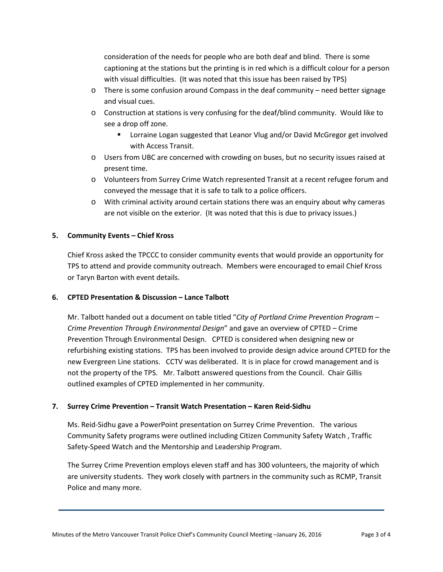consideration of the needs for people who are both deaf and blind. There is some captioning at the stations but the printing is in red which is a difficult colour for a person with visual difficulties. (It was noted that this issue has been raised by TPS)

- o There is some confusion around Compass in the deaf community need better signage and visual cues.
- o Construction at stations is very confusing for the deaf/blind community. Would like to see a drop off zone.
	- **EXEDENT** Lorraine Logan suggested that Leanor Vlug and/or David McGregor get involved with Access Transit.
- o Users from UBC are concerned with crowding on buses, but no security issues raised at present time.
- o Volunteers from Surrey Crime Watch represented Transit at a recent refugee forum and conveyed the message that it is safe to talk to a police officers.
- o With criminal activity around certain stations there was an enquiry about why cameras are not visible on the exterior. (It was noted that this is due to privacy issues.)

## **5. Community Events – Chief Kross**

Chief Kross asked the TPCCC to consider community events that would provide an opportunity for TPS to attend and provide community outreach. Members were encouraged to email Chief Kross or Taryn Barton with event details.

## **6. CPTED Presentation & Discussion – Lance Talbott**

Mr. Talbott handed out a document on table titled "*City of Portland Crime Prevention Program – Crime Prevention Through Environmental Design*" and gave an overview of CPTED – Crime Prevention Through Environmental Design. CPTED is considered when designing new or refurbishing existing stations. TPS has been involved to provide design advice around CPTED for the new Evergreen Line stations. CCTV was deliberated. It is in place for crowd management and is not the property of the TPS. Mr. Talbott answered questions from the Council. Chair Gillis outlined examples of CPTED implemented in her community.

## **7. Surrey Crime Prevention – Transit Watch Presentation – Karen Reid-Sidhu**

Ms. Reid-Sidhu gave a PowerPoint presentation on Surrey Crime Prevention. The various Community Safety programs were outlined including Citizen Community Safety Watch , Traffic Safety-Speed Watch and the Mentorship and Leadership Program.

The Surrey Crime Prevention employs eleven staff and has 300 volunteers, the majority of which are university students. They work closely with partners in the community such as RCMP, Transit Police and many more.